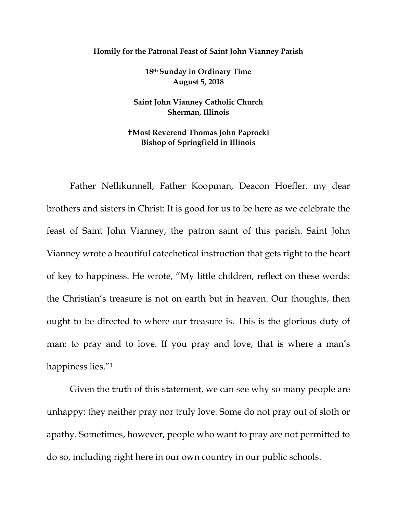## **Homily for the Patronal Feast of Saint John Vianney Parish**

**18th Sunday in Ordinary Time August 5, 2018** 

**Saint John Vianney Catholic Church Sherman, Illinois**

## **Most Reverend Thomas John Paprocki Bishop of Springfield in Illinois**

Father Nellikunnell, Father Koopman, Deacon Hoefler, my dear brothers and sisters in Christ: It is good for us to be here as we celebrate the feast of Saint John Vianney, the patron saint of this parish. Saint John Vianney wrote a beautiful catechetical instruction that gets right to the heart of key to happiness. He wrote, "My little children, reflect on these words: the Christian's treasure is not on earth but in heaven. Our thoughts, then ought to be directed to where our treasure is. This is the glorious duty of man: to pray and to love. If you pray and love, that is where a man's happiness lies."[1](#page-2-0)

Given the truth of this statement, we can see why so many people are unhappy: they neither pray nor truly love. Some do not pray out of sloth or apathy. Sometimes, however, people who want to pray are not permitted to do so, including right here in our own country in our public schools.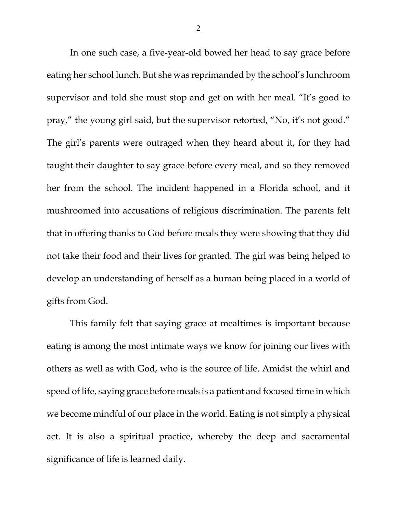In one such case, a five-year-old bowed her head to say grace before eating her school lunch. But she was reprimanded by the school's lunchroom supervisor and told she must stop and get on with her meal. "It's good to pray," the young girl said, but the supervisor retorted, "No, it's not good." The girl's parents were outraged when they heard about it, for they had taught their daughter to say grace before every meal, and so they removed her from the school. The incident happened in a Florida school, and it mushroomed into accusations of religious discrimination. The parents felt that in offering thanks to God before meals they were showing that they did not take their food and their lives for granted. The girl was being helped to develop an understanding of herself as a human being placed in a world of gifts from God.

This family felt that saying grace at mealtimes is important because eating is among the most intimate ways we know for joining our lives with others as well as with God, who is the source of life. Amidst the whirl and speed of life, saying grace before meals is a patient and focused time in which we become mindful of our place in the world. Eating is not simply a physical act. It is also a spiritual practice, whereby the deep and sacramental significance of life is learned daily.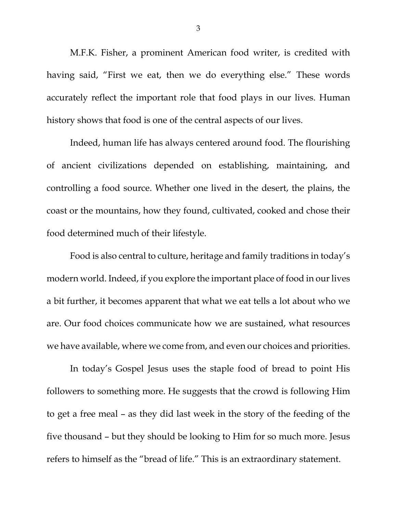M.F.K. Fisher, a prominent American food writer, is credited with having said, "First we eat, then we do everything else." These words accurately reflect the important role that food plays in our lives. Human history shows that food is one of the central aspects of our lives.

Indeed, human life has always centered around food. The flourishing of ancient civilizations depended on establishing, maintaining, and controlling a food source. Whether one lived in the desert, the plains, the coast or the mountains, how they found, cultivated, cooked and chose their food determined much of their lifestyle.

Food is also central to culture, heritage and family traditions in today's modern world. Indeed, if you explore the important place of food in our lives a bit further, it becomes apparent that what we eat tells a lot about who we are. Our food choices communicate how we are sustained, what resources we have available, where we come from, and even our choices and priorities.

<span id="page-2-2"></span><span id="page-2-1"></span><span id="page-2-0"></span>In today's Gospel Jesus uses the staple food of bread to point His followers to something more. He suggests that the crowd is following Him to get a free meal – as they did last week in the story of the feeding of the five thousand – but they should be looking to Him for so much more. Jesus refers to himself as the "bread of life." This is an extraordinary statement.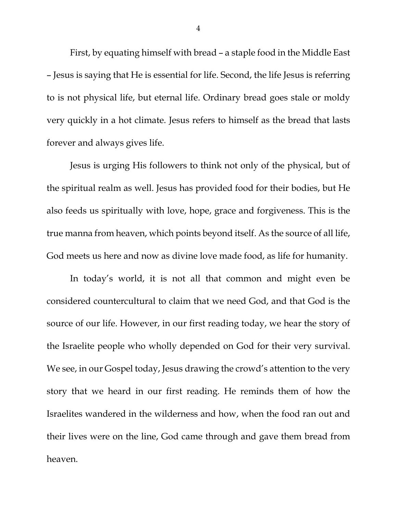First, by equating himself with bread – a staple food in the Middle East – Jesus is saying that He is essential for life. Second, the life Jesus is referring to is not physical life, but eternal life. Ordinary bread goes stale or moldy very quickly in a hot climate. Jesus refers to himself as the bread that lasts forever and always gives life.

Jesus is urging His followers to think not only of the physical, but of the spiritual realm as well. Jesus has provided food for their bodies, but He also feeds us spiritually with love, hope, grace and forgiveness. This is the true manna from heaven, which points beyond itself. As the source of all life, God meets us here and now as divine love made food, as life for humanity.

In today's world, it is not all that common and might even be considered countercultural to claim that we need God, and that God is the source of our life. However, in our first reading today, we hear the story of the Israelite people who wholly depended on God for their very survival. We see, in our Gospel today, Jesus drawing the crowd's attention to the very story that we heard in our first reading. He reminds them of how the Israelites wandered in the wilderness and how, when the food ran out and their lives were on the line, God came through and gave them bread from heaven.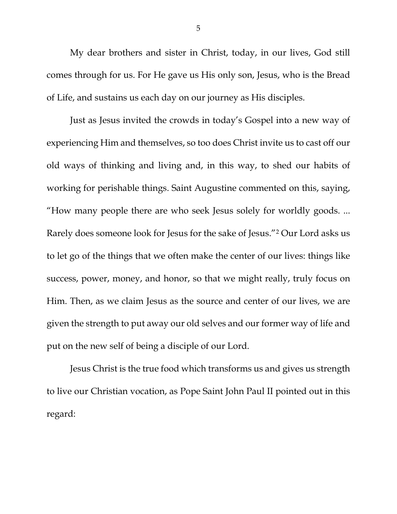My dear brothers and sister in Christ, today, in our lives, God still comes through for us. For He gave us His only son, Jesus, who is the Bread of Life, and sustains us each day on our journey as His disciples.

Just as Jesus invited the crowds in today's Gospel into a new way of experiencing Him and themselves, so too does Christ invite us to cast off our old ways of thinking and living and, in this way, to shed our habits of working for perishable things. Saint Augustine commented on this, saying, "How many people there are who seek Jesus solely for worldly goods. ... Rarely does someone look for Jesus for the sake of Jesus."[2](#page-2-1) Our Lord asks us to let go of the things that we often make the center of our lives: things like success, power, money, and honor, so that we might really, truly focus on Him. Then, as we claim Jesus as the source and center of our lives, we are given the strength to put away our old selves and our former way of life and put on the new self of being a disciple of our Lord.

Jesus Christ is the true food which transforms us and gives us strength to live our Christian vocation, as Pope Saint John Paul II pointed out in this regard: